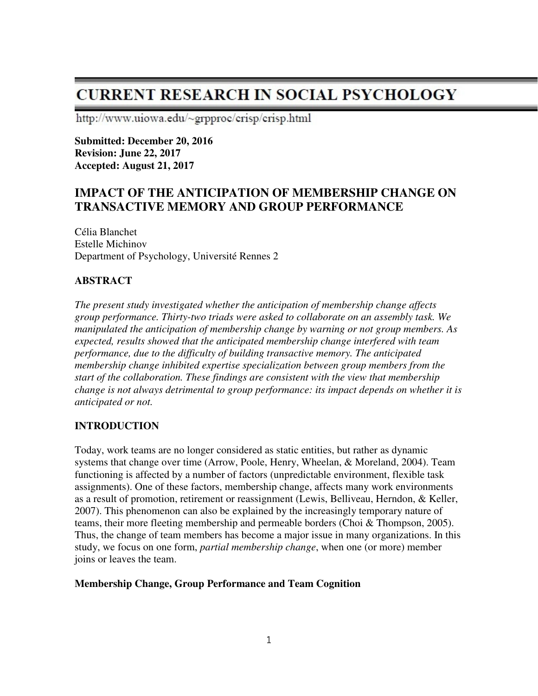# **CURRENT RESEARCH IN SOCIAL PSYCHOLOGY**

http://www.uiowa.edu/~grpproc/crisp/crisp.html

**Submitted: December 20, 2016 Revision: June 22, 2017 Accepted: August 21, 2017** 

# **IMPACT OF THE ANTICIPATION OF MEMBERSHIP CHANGE ON TRANSACTIVE MEMORY AND GROUP PERFORMANCE**

Célia Blanchet Estelle Michinov Department of Psychology, Université Rennes 2

# **ABSTRACT**

*The present study investigated whether the anticipation of membership change affects group performance. Thirty-two triads were asked to collaborate on an assembly task. We manipulated the anticipation of membership change by warning or not group members. As expected, results showed that the anticipated membership change interfered with team performance, due to the difficulty of building transactive memory. The anticipated membership change inhibited expertise specialization between group members from the start of the collaboration. These findings are consistent with the view that membership change is not always detrimental to group performance: its impact depends on whether it is anticipated or not.* 

# **INTRODUCTION**

Today, work teams are no longer considered as static entities, but rather as dynamic systems that change over time (Arrow, Poole, Henry, Wheelan, & Moreland, 2004). Team functioning is affected by a number of factors (unpredictable environment, flexible task assignments). One of these factors, membership change, affects many work environments as a result of promotion, retirement or reassignment (Lewis, Belliveau, Herndon, & Keller, 2007). This phenomenon can also be explained by the increasingly temporary nature of teams, their more fleeting membership and permeable borders (Choi & Thompson, 2005). Thus, the change of team members has become a major issue in many organizations. In this study, we focus on one form, *partial membership change*, when one (or more) member joins or leaves the team.

# **Membership Change, Group Performance and Team Cognition**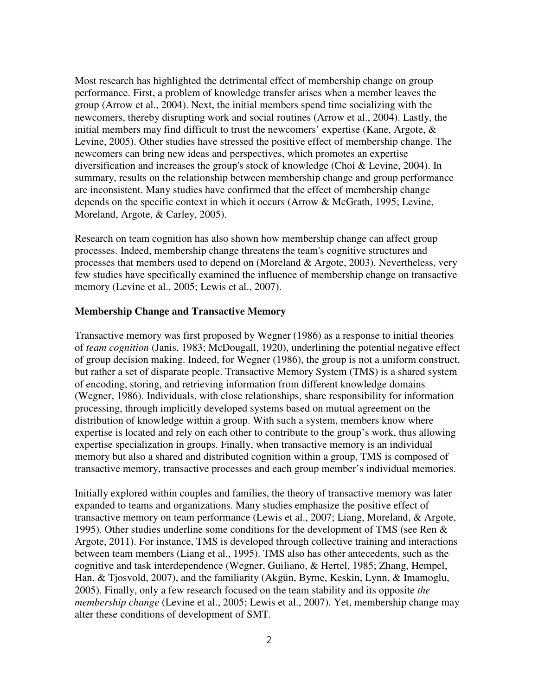Most research has highlighted the detrimental effect of membership change on group performance. First, a problem of knowledge transfer arises when a member leaves the group (Arrow et al., 2004). Next, the initial members spend time socializing with the newcomers, thereby disrupting work and social routines (Arrow et al., 2004). Lastly, the initial members may find difficult to trust the newcomers' expertise (Kane, Argote, & Levine, 2005). Other studies have stressed the positive effect of membership change. The newcomers can bring new ideas and perspectives, which promotes an expertise diversification and increases the group's stock of knowledge (Choi & Levine, 2004). In summary, results on the relationship between membership change and group performance are inconsistent. Many studies have confirmed that the effect of membership change depends on the specific context in which it occurs (Arrow & McGrath, 1995; Levine, Moreland, Argote, & Carley, 2005).

Research on team cognition has also shown how membership change can affect group processes. Indeed, membership change threatens the team's cognitive structures and processes that members used to depend on (Moreland & Argote, 2003). Nevertheless, very few studies have specifically examined the influence of membership change on transactive memory (Levine et al., 2005; Lewis et al., 2007).

#### **Membership Change and Transactive Memory**

Transactive memory was first proposed by Wegner (1986) as a response to initial theories of *team cognition* (Janis, 1983; McDougall, 1920), underlining the potential negative effect of group decision making. Indeed, for Wegner (1986), the group is not a uniform construct, but rather a set of disparate people. Transactive Memory System (TMS) is a shared system of encoding, storing, and retrieving information from different knowledge domains (Wegner, 1986). Individuals, with close relationships, share responsibility for information processing, through implicitly developed systems based on mutual agreement on the distribution of knowledge within a group. With such a system, members know where expertise is located and rely on each other to contribute to the group's work, thus allowing expertise specialization in groups. Finally, when transactive memory is an individual memory but also a shared and distributed cognition within a group, TMS is composed of transactive memory, transactive processes and each group member's individual memories.

Initially explored within couples and families, the theory of transactive memory was later expanded to teams and organizations. Many studies emphasize the positive effect of transactive memory on team performance (Lewis et al., 2007; Liang, Moreland, & Argote, 1995). Other studies underline some conditions for the development of TMS (see Ren & Argote, 2011). For instance, TMS is developed through collective training and interactions between team members (Liang et al., 1995). TMS also has other antecedents, such as the cognitive and task interdependence (Wegner, Guiliano, & Hertel, 1985; Zhang, Hempel, Han, & Tjosvold, 2007), and the familiarity (Akgün, Byrne, Keskin, Lynn, & Imamoglu, 2005). Finally, only a few research focused on the team stability and its opposite *the membership change* (Levine et al., 2005; Lewis et al., 2007). Yet, membership change may alter these conditions of development of SMT.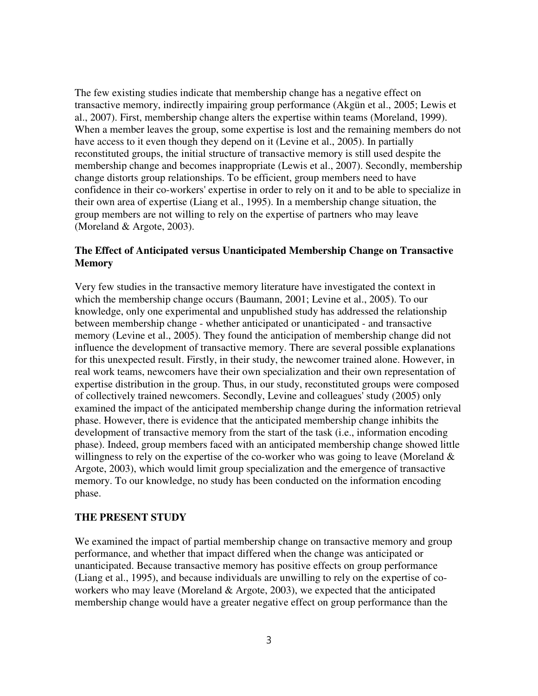The few existing studies indicate that membership change has a negative effect on transactive memory, indirectly impairing group performance (Akgün et al., 2005; Lewis et al., 2007). First, membership change alters the expertise within teams (Moreland, 1999). When a member leaves the group, some expertise is lost and the remaining members do not have access to it even though they depend on it (Levine et al., 2005). In partially reconstituted groups, the initial structure of transactive memory is still used despite the membership change and becomes inappropriate (Lewis et al., 2007). Secondly, membership change distorts group relationships. To be efficient, group members need to have confidence in their co-workers' expertise in order to rely on it and to be able to specialize in their own area of expertise (Liang et al., 1995). In a membership change situation, the group members are not willing to rely on the expertise of partners who may leave (Moreland & Argote, 2003).

## **The Effect of Anticipated versus Unanticipated Membership Change on Transactive Memory**

Very few studies in the transactive memory literature have investigated the context in which the membership change occurs (Baumann, 2001; Levine et al., 2005). To our knowledge, only one experimental and unpublished study has addressed the relationship between membership change - whether anticipated or unanticipated - and transactive memory (Levine et al., 2005). They found the anticipation of membership change did not influence the development of transactive memory. There are several possible explanations for this unexpected result. Firstly, in their study, the newcomer trained alone. However, in real work teams, newcomers have their own specialization and their own representation of expertise distribution in the group. Thus, in our study, reconstituted groups were composed of collectively trained newcomers. Secondly, Levine and colleagues' study (2005) only examined the impact of the anticipated membership change during the information retrieval phase. However, there is evidence that the anticipated membership change inhibits the development of transactive memory from the start of the task (i.e., information encoding phase). Indeed, group members faced with an anticipated membership change showed little willingness to rely on the expertise of the co-worker who was going to leave (Moreland  $\&$ Argote, 2003), which would limit group specialization and the emergence of transactive memory. To our knowledge, no study has been conducted on the information encoding phase.

# **THE PRESENT STUDY**

We examined the impact of partial membership change on transactive memory and group performance, and whether that impact differed when the change was anticipated or unanticipated. Because transactive memory has positive effects on group performance (Liang et al., 1995), and because individuals are unwilling to rely on the expertise of coworkers who may leave (Moreland & Argote, 2003), we expected that the anticipated membership change would have a greater negative effect on group performance than the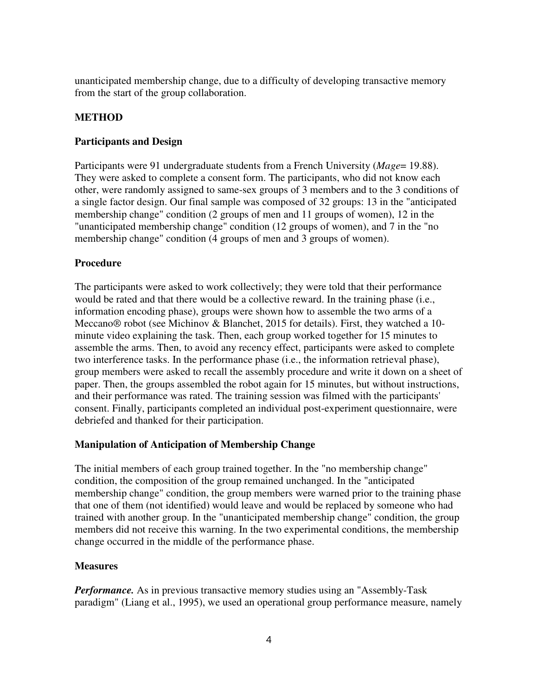unanticipated membership change, due to a difficulty of developing transactive memory from the start of the group collaboration.

## **METHOD**

#### **Participants and Design**

Participants were 91 undergraduate students from a French University (*Mage*= 19.88). They were asked to complete a consent form. The participants, who did not know each other, were randomly assigned to same-sex groups of 3 members and to the 3 conditions of a single factor design. Our final sample was composed of 32 groups: 13 in the "anticipated membership change" condition (2 groups of men and 11 groups of women), 12 in the "unanticipated membership change" condition (12 groups of women), and 7 in the "no membership change" condition (4 groups of men and 3 groups of women).

#### **Procedure**

The participants were asked to work collectively; they were told that their performance would be rated and that there would be a collective reward. In the training phase (i.e., information encoding phase), groups were shown how to assemble the two arms of a Meccano® robot (see Michinov & Blanchet, 2015 for details). First, they watched a 10 minute video explaining the task. Then, each group worked together for 15 minutes to assemble the arms. Then, to avoid any recency effect, participants were asked to complete two interference tasks. In the performance phase (i.e., the information retrieval phase), group members were asked to recall the assembly procedure and write it down on a sheet of paper. Then, the groups assembled the robot again for 15 minutes, but without instructions, and their performance was rated. The training session was filmed with the participants' consent. Finally, participants completed an individual post-experiment questionnaire, were debriefed and thanked for their participation.

#### **Manipulation of Anticipation of Membership Change**

The initial members of each group trained together. In the "no membership change" condition, the composition of the group remained unchanged. In the "anticipated membership change" condition, the group members were warned prior to the training phase that one of them (not identified) would leave and would be replaced by someone who had trained with another group. In the "unanticipated membership change" condition, the group members did not receive this warning. In the two experimental conditions, the membership change occurred in the middle of the performance phase.

#### **Measures**

*Performance*. As in previous transactive memory studies using an "Assembly-Task" paradigm" (Liang et al., 1995), we used an operational group performance measure, namely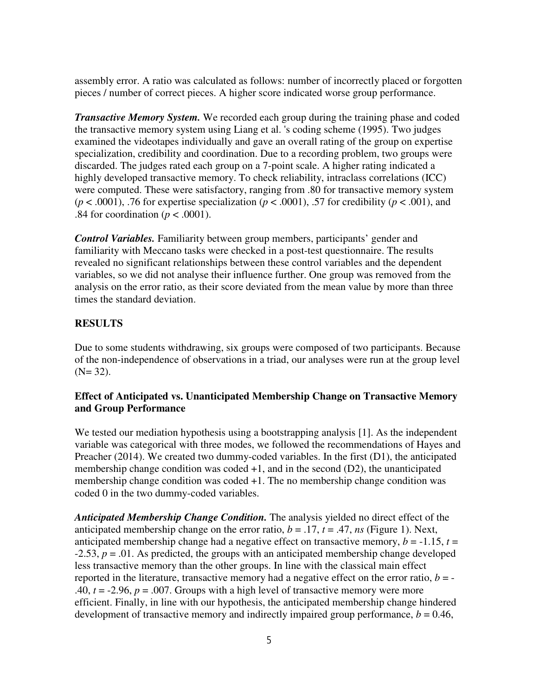assembly error. A ratio was calculated as follows: number of incorrectly placed or forgotten pieces / number of correct pieces. A higher score indicated worse group performance.

*Transactive Memory System.* We recorded each group during the training phase and coded the transactive memory system using Liang et al. 's coding scheme (1995). Two judges examined the videotapes individually and gave an overall rating of the group on expertise specialization, credibility and coordination. Due to a recording problem, two groups were discarded. The judges rated each group on a 7-point scale. A higher rating indicated a highly developed transactive memory. To check reliability, intraclass correlations (ICC) were computed. These were satisfactory, ranging from .80 for transactive memory system ( $p < .0001$ ), .76 for expertise specialization ( $p < .0001$ ), .57 for credibility ( $p < .001$ ), and .84 for coordination ( $p < .0001$ ).

*Control Variables.* Familiarity between group members, participants' gender and familiarity with Meccano tasks were checked in a post-test questionnaire. The results revealed no significant relationships between these control variables and the dependent variables, so we did not analyse their influence further. One group was removed from the analysis on the error ratio, as their score deviated from the mean value by more than three times the standard deviation.

#### **RESULTS**

Due to some students withdrawing, six groups were composed of two participants. Because of the non-independence of observations in a triad, our analyses were run at the group level  $(N= 32)$ .

# **Effect of Anticipated vs. Unanticipated Membership Change on Transactive Memory and Group Performance**

We tested our mediation hypothesis using a bootstrapping analysis [1]. As the independent variable was categorical with three modes, we followed the recommendations of Hayes and Preacher (2014). We created two dummy-coded variables. In the first (D1), the anticipated membership change condition was coded +1, and in the second (D2), the unanticipated membership change condition was coded +1. The no membership change condition was coded 0 in the two dummy-coded variables.

*Anticipated Membership Change Condition.* The analysis yielded no direct effect of the anticipated membership change on the error ratio,  $b = .17$ ,  $t = .47$ , *ns* (Figure 1). Next, anticipated membership change had a negative effect on transactive memory,  $b = -1.15$ ,  $t =$  $-2.53$ ,  $p = .01$ . As predicted, the groups with an anticipated membership change developed less transactive memory than the other groups. In line with the classical main effect reported in the literature, transactive memory had a negative effect on the error ratio,  $b = -$ .40,  $t = -2.96$ ,  $p = .007$ . Groups with a high level of transactive memory were more efficient. Finally, in line with our hypothesis, the anticipated membership change hindered development of transactive memory and indirectly impaired group performance,  $b = 0.46$ ,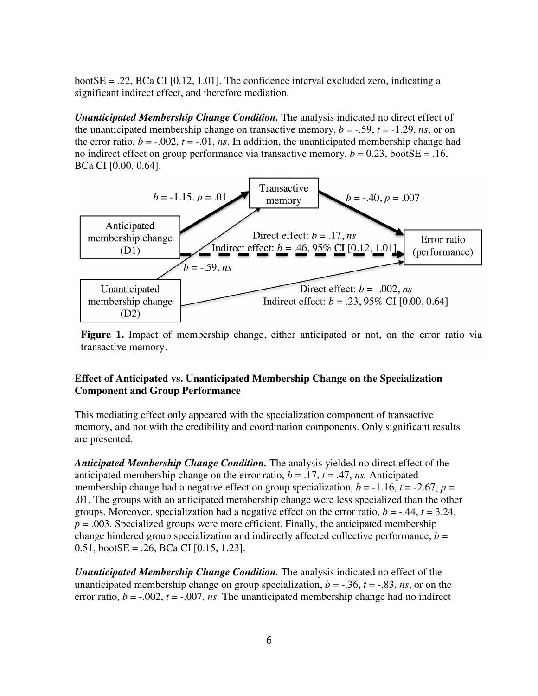bootSE = .22, BCa CI [0.12, 1.01]. The confidence interval excluded zero, indicating a significant indirect effect, and therefore mediation.

*Unanticipated Membership Change Condition.* The analysis indicated no direct effect of the unanticipated membership change on transactive memory,  $b = -.59$ ,  $t = -1.29$ , *ns*, or on the error ratio,  $b = -0.002$ ,  $t = -0.01$ , *ns*. In addition, the unanticipated membership change had no indirect effect on group performance via transactive memory,  $b = 0.23$ , bootSE = .16, BCa CI [0.00, 0.64].



Figure 1. Impact of membership change, either anticipated or not, on the error ratio via transactive memory.

# **Effect of Anticipated vs. Unanticipated Membership Change on the Specialization Component and Group Performance**

This mediating effect only appeared with the specialization component of transactive memory, and not with the credibility and coordination components. Only significant results are presented.

*Anticipated Membership Change Condition.* The analysis yielded no direct effect of the anticipated membership change on the error ratio,  $b = .17$ ,  $t = .47$ , *ns*. Anticipated membership change had a negative effect on group specialization,  $b = -1.16$ ,  $t = -2.67$ ,  $p =$ .01. The groups with an anticipated membership change were less specialized than the other groups. Moreover, specialization had a negative effect on the error ratio,  $b = -0.44$ ,  $t = 3.24$ ,  $p = 0.003$ . Specialized groups were more efficient. Finally, the anticipated membership change hindered group specialization and indirectly affected collective performance,  $b =$ 0.51, boot $SE = .26$ ,  $BCa CI$  [0.15, 1.23].

*Unanticipated Membership Change Condition.* The analysis indicated no effect of the unanticipated membership change on group specialization,  $b = -0.36$ ,  $t = -0.83$ , *ns*, or on the error ratio,  $b = -0.002$ ,  $t = -0.007$ , *ns*. The unanticipated membership change had no indirect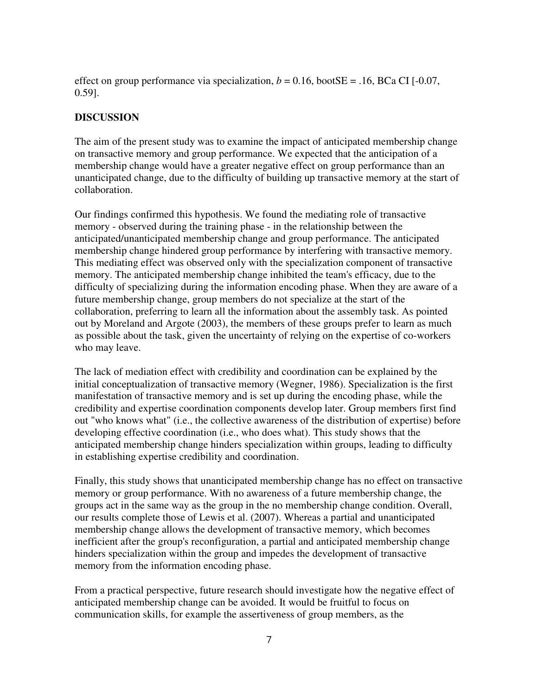effect on group performance via specialization,  $b = 0.16$ , bootSE = .16, BCa CI [-0.07, 0.59].

#### **DISCUSSION**

The aim of the present study was to examine the impact of anticipated membership change on transactive memory and group performance. We expected that the anticipation of a membership change would have a greater negative effect on group performance than an unanticipated change, due to the difficulty of building up transactive memory at the start of collaboration.

Our findings confirmed this hypothesis. We found the mediating role of transactive memory - observed during the training phase - in the relationship between the anticipated/unanticipated membership change and group performance. The anticipated membership change hindered group performance by interfering with transactive memory. This mediating effect was observed only with the specialization component of transactive memory. The anticipated membership change inhibited the team's efficacy, due to the difficulty of specializing during the information encoding phase. When they are aware of a future membership change, group members do not specialize at the start of the collaboration, preferring to learn all the information about the assembly task. As pointed out by Moreland and Argote (2003), the members of these groups prefer to learn as much as possible about the task, given the uncertainty of relying on the expertise of co-workers who may leave.

The lack of mediation effect with credibility and coordination can be explained by the initial conceptualization of transactive memory (Wegner, 1986). Specialization is the first manifestation of transactive memory and is set up during the encoding phase, while the credibility and expertise coordination components develop later. Group members first find out "who knows what" (i.e., the collective awareness of the distribution of expertise) before developing effective coordination (i.e., who does what). This study shows that the anticipated membership change hinders specialization within groups, leading to difficulty in establishing expertise credibility and coordination.

Finally, this study shows that unanticipated membership change has no effect on transactive memory or group performance. With no awareness of a future membership change, the groups act in the same way as the group in the no membership change condition. Overall, our results complete those of Lewis et al. (2007). Whereas a partial and unanticipated membership change allows the development of transactive memory, which becomes inefficient after the group's reconfiguration, a partial and anticipated membership change hinders specialization within the group and impedes the development of transactive memory from the information encoding phase.

From a practical perspective, future research should investigate how the negative effect of anticipated membership change can be avoided. It would be fruitful to focus on communication skills, for example the assertiveness of group members, as the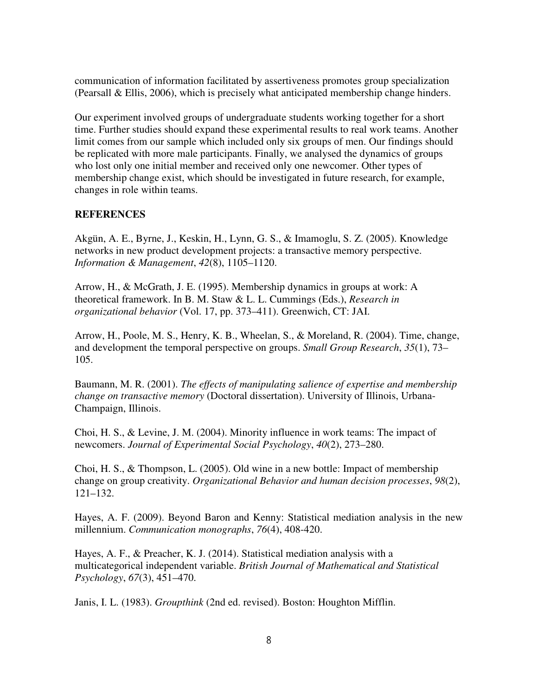communication of information facilitated by assertiveness promotes group specialization (Pearsall & Ellis, 2006), which is precisely what anticipated membership change hinders.

Our experiment involved groups of undergraduate students working together for a short time. Further studies should expand these experimental results to real work teams. Another limit comes from our sample which included only six groups of men. Our findings should be replicated with more male participants. Finally, we analysed the dynamics of groups who lost only one initial member and received only one newcomer. Other types of membership change exist, which should be investigated in future research, for example, changes in role within teams.

#### **REFERENCES**

Akgün, A. E., Byrne, J., Keskin, H., Lynn, G. S., & Imamoglu, S. Z. (2005). Knowledge networks in new product development projects: a transactive memory perspective. *Information & Management*, *42*(8), 1105–1120.

Arrow, H., & McGrath, J. E. (1995). Membership dynamics in groups at work: A theoretical framework. In B. M. Staw & L. L. Cummings (Eds.), *Research in organizational behavior* (Vol. 17, pp. 373–411). Greenwich, CT: JAI.

Arrow, H., Poole, M. S., Henry, K. B., Wheelan, S., & Moreland, R. (2004). Time, change, and development the temporal perspective on groups. *Small Group Research*, *35*(1), 73– 105.

Baumann, M. R. (2001). *The effects of manipulating salience of expertise and membership change on transactive memory* (Doctoral dissertation). University of Illinois, Urbana-Champaign, Illinois.

Choi, H. S., & Levine, J. M. (2004). Minority influence in work teams: The impact of newcomers. *Journal of Experimental Social Psychology*, *40*(2), 273–280.

Choi, H. S., & Thompson, L. (2005). Old wine in a new bottle: Impact of membership change on group creativity. *Organizational Behavior and human decision processes*, *98*(2), 121–132.

Hayes, A. F. (2009). Beyond Baron and Kenny: Statistical mediation analysis in the new millennium. *Communication monographs*, *76*(4), 408-420.

Hayes, A. F., & Preacher, K. J. (2014). Statistical mediation analysis with a multicategorical independent variable. *British Journal of Mathematical and Statistical Psychology*, *67*(3), 451–470.

Janis, I. L. (1983). *Groupthink* (2nd ed. revised). Boston: Houghton Mifflin.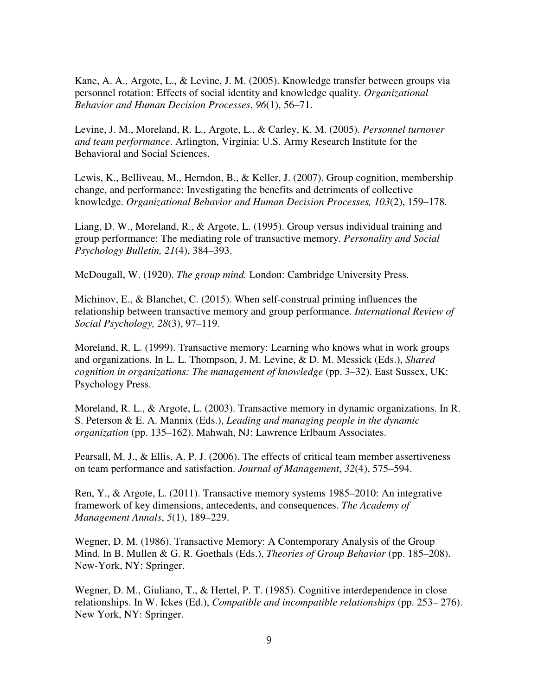Kane, A. A., Argote, L., & Levine, J. M. (2005). Knowledge transfer between groups via personnel rotation: Effects of social identity and knowledge quality. *Organizational Behavior and Human Decision Processes*, *96*(1), 56–71.

Levine, J. M., Moreland, R. L., Argote, L., & Carley, K. M. (2005). *Personnel turnover and team performance*. Arlington, Virginia: U.S. Army Research Institute for the Behavioral and Social Sciences.

Lewis, K., Belliveau, M., Herndon, B., & Keller, J. (2007). Group cognition, membership change, and performance: Investigating the benefits and detriments of collective knowledge. *Organizational Behavior and Human Decision Processes, 103*(2), 159–178.

Liang, D. W., Moreland, R., & Argote, L. (1995). Group versus individual training and group performance: The mediating role of transactive memory. *Personality and Social Psychology Bulletin, 21*(4), 384–393.

McDougall, W. (1920). *The group mind.* London: Cambridge University Press.

Michinov, E., & Blanchet, C. (2015). When self-construal priming influences the relationship between transactive memory and group performance. *International Review of Social Psychology, 28*(3), 97–119.

Moreland, R. L. (1999). Transactive memory: Learning who knows what in work groups and organizations. In L. L. Thompson, J. M. Levine, & D. M. Messick (Eds.), *Shared cognition in organizations: The management of knowledge* (pp. 3–32). East Sussex, UK: Psychology Press.

Moreland, R. L., & Argote, L. (2003). Transactive memory in dynamic organizations. In R. S. Peterson & E. A. Mannix (Eds.), *Leading and managing people in the dynamic organization* (pp. 135–162). Mahwah, NJ: Lawrence Erlbaum Associates.

Pearsall, M. J., & Ellis, A. P. J. (2006). The effects of critical team member assertiveness on team performance and satisfaction. *Journal of Management*, *32*(4), 575–594.

Ren, Y., & Argote, L. (2011). Transactive memory systems 1985–2010: An integrative framework of key dimensions, antecedents, and consequences. *The Academy of Management Annals*, *5*(1), 189–229.

Wegner, D. M. (1986). Transactive Memory: A Contemporary Analysis of the Group Mind. In B. Mullen & G. R. Goethals (Eds.), *Theories of Group Behavior* (pp. 185–208). New-York, NY: Springer.

Wegner, D. M., Giuliano, T., & Hertel, P. T. (1985). Cognitive interdependence in close relationships. In W. Ickes (Ed.), *Compatible and incompatible relationships* (pp. 253– 276). New York, NY: Springer.